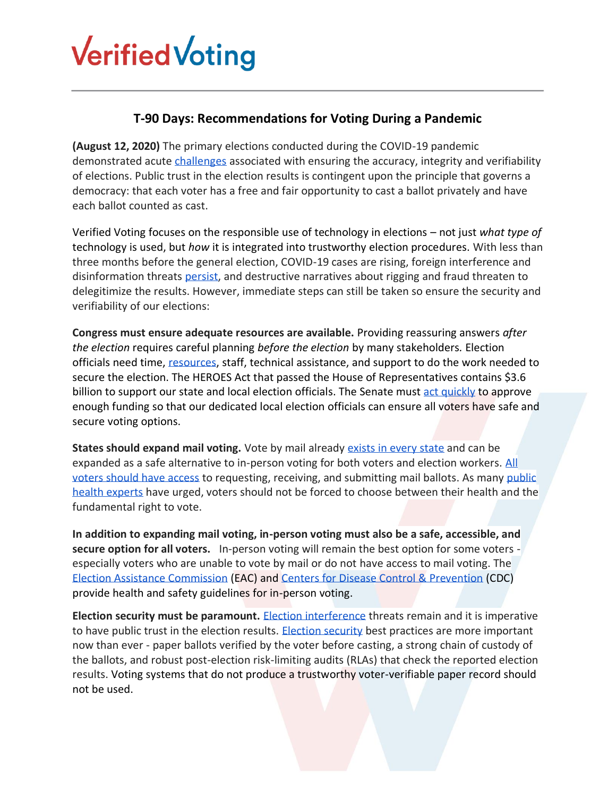## **Verified Voting**

## **T-90 Days: Recommendations for Voting During a Pandemic**

**(August 12, 2020)** The primary elections conducted during the COVID-19 pandemic demonstrated acute [challenges](https://www.verifiedvoting.org/june-primaries-set-the-stage/) associated with ensuring the accuracy, integrity and verifiability of elections. Public trust in the election results is contingent upon the principle that governs a democracy: that each voter has a free and fair opportunity to cast a ballot privately and have each ballot counted as cast.

Verified Voting focuses on the responsible use of technology in elections – not just *what type of*  technology is used, but *how* it is integrated into trustworthy election procedures. With less than three months before the general election, COVID-19 cases are rising, foreign interference and disinformation threats [persist,](https://www.intelligence.senate.gov/sites/default/files/documents/Report_Volume1.pdf) and destructive narratives about rigging and fraud threaten to delegitimize the results. However, immediate steps can still be taken so ensure the security and verifiability of our elections:

**Congress must ensure adequate resources are available.** Providing reassuring answers *after the election* requires careful planning *before the election* by many stakeholders*.* Election officials need time, [resources,](https://www.verifiedvoting.org/verified-voting-statement-for-the-record-house-admin-election-hearing/) staff, technical assistance, and support to do the work needed to secure the election. The HEROES Act that passed the House of Representatives contains \$3.6 billion to support our state and local election officials. The Senate must [act quickly](https://verifiedvoting.org/verified-voting-blog-verified-voting-to-congress-pass-funding-now/) to approve enough funding so that our dedicated local election officials can ensure all voters have safe and secure voting options.

**States should expand mail voting.** Vote by mail already [exists in every state](https://www.washingtonpost.com/graphics/2020/politics/vote-by-mail-states/) and can be expanded as a safe alternative to in-person voting for both voters and election workers. All [voters should have access](https://www.aclu.org/other/let-people-disabilities-vote) to requesting, receiving, and submitting mail ballots. As many [public](https://cdn.americanprogress.org/content/uploads/2020/05/05061221/21DemocracyTeam_finalmailvotingandcovid19.pdf)  [health experts](https://cdn.americanprogress.org/content/uploads/2020/05/05061221/21DemocracyTeam_finalmailvotingandcovid19.pdf) have urged, voters should not be forced to choose between their health and the fundamental right to vote.

**In addition to expanding mail voting, in-person voting must also be a safe, accessible, and secure option for all voters.** In-person voting will remain the best option for some voters especially voters who are unable to vote by mail or do not have access to mail voting. The [Election Assistance Commission](https://www.eac.gov/election-officials/coronavirus-covid-19-resources) (EAC) and [Centers for Disease Control & Prevention](https://www.cdc.gov/coronavirus/2019-ncov/community/election-polling-locations.html) (CDC) provide health and safety guidelines for in-person voting.

**Election security must be paramount.** Election [interference](https://www.intelligence.senate.gov/sites/default/files/documents/Report_Volume1.pdf) threats remain and it is imperative to have public trust in the election results. [Election security](https://verifiedvoting.org/electionsecurity/) best practices are more important now than ever - paper ballots verified by the voter before casting, a strong chain of custody of the ballots, and robust post-election risk-limiting audits (RLAs) that check the reported election results. Voting systems that do not produce a trustworthy voter-verifiable paper record should not be used.